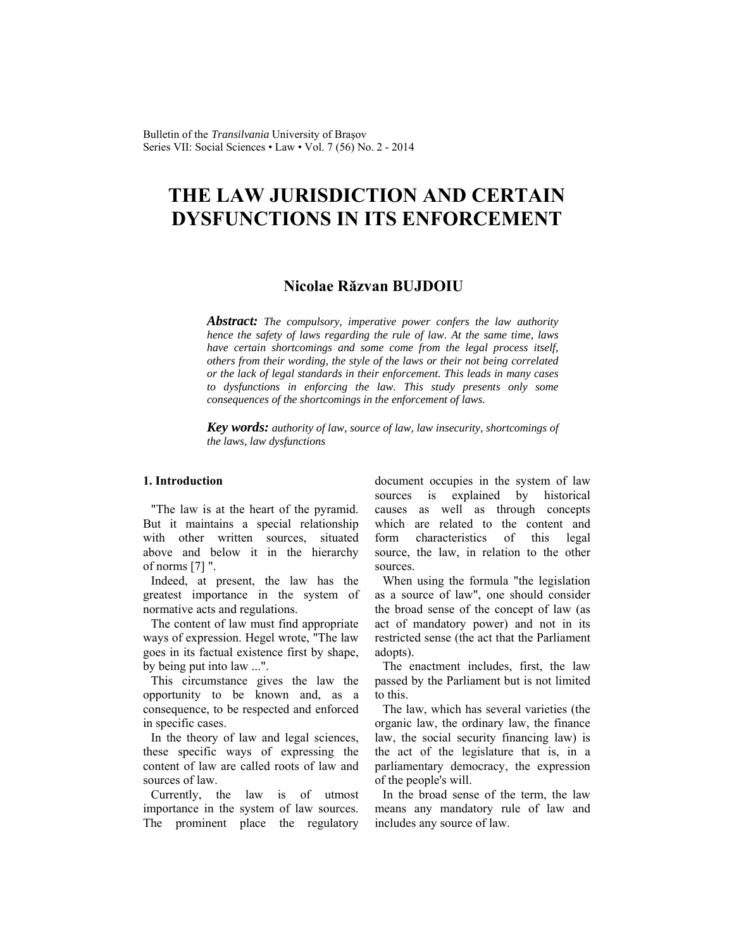Bulletin of the *Transilvania* University of Braşov Series VII: Social Sciences • Law • Vol. 7 (56) No. 2 - 2014

## **THE LAW JURISDICTION AND CERTAIN DYSFUNCTIONS IN ITS ENFORCEMENT**

## **Nicolae Răzvan BUJDOIU**

*Abstract: The compulsory, imperative power confers the law authority hence the safety of laws regarding the rule of law. At the same time, laws have certain shortcomings and some come from the legal process itself, others from their wording, the style of the laws or their not being correlated or the lack of legal standards in their enforcement. This leads in many cases to dysfunctions in enforcing the law. This study presents only some consequences of the shortcomings in the enforcement of laws.* 

*Key words: authority of law, source of law, law insecurity, shortcomings of the laws, law dysfunctions*

## **1. Introduction**

"The law is at the heart of the pyramid. But it maintains a special relationship with other written sources, situated above and below it in the hierarchy of norms [7] ".

Indeed, at present, the law has the greatest importance in the system of normative acts and regulations.

The content of law must find appropriate ways of expression. Hegel wrote, "The law goes in its factual existence first by shape, by being put into law ...".

This circumstance gives the law the opportunity to be known and, as a consequence, to be respected and enforced in specific cases.

In the theory of law and legal sciences, these specific ways of expressing the content of law are called roots of law and sources of law.

Currently, the law is of utmost importance in the system of law sources. The prominent place the regulatory document occupies in the system of law sources is explained by historical causes as well as through concepts which are related to the content and form characteristics of this legal source, the law, in relation to the other sources.

When using the formula "the legislation as a source of law", one should consider the broad sense of the concept of law (as act of mandatory power) and not in its restricted sense (the act that the Parliament adopts).

The enactment includes, first, the law passed by the Parliament but is not limited to this.

The law, which has several varieties (the organic law, the ordinary law, the finance law, the social security financing law) is the act of the legislature that is, in a parliamentary democracy, the expression of the people's will.

In the broad sense of the term, the law means any mandatory rule of law and includes any source of law.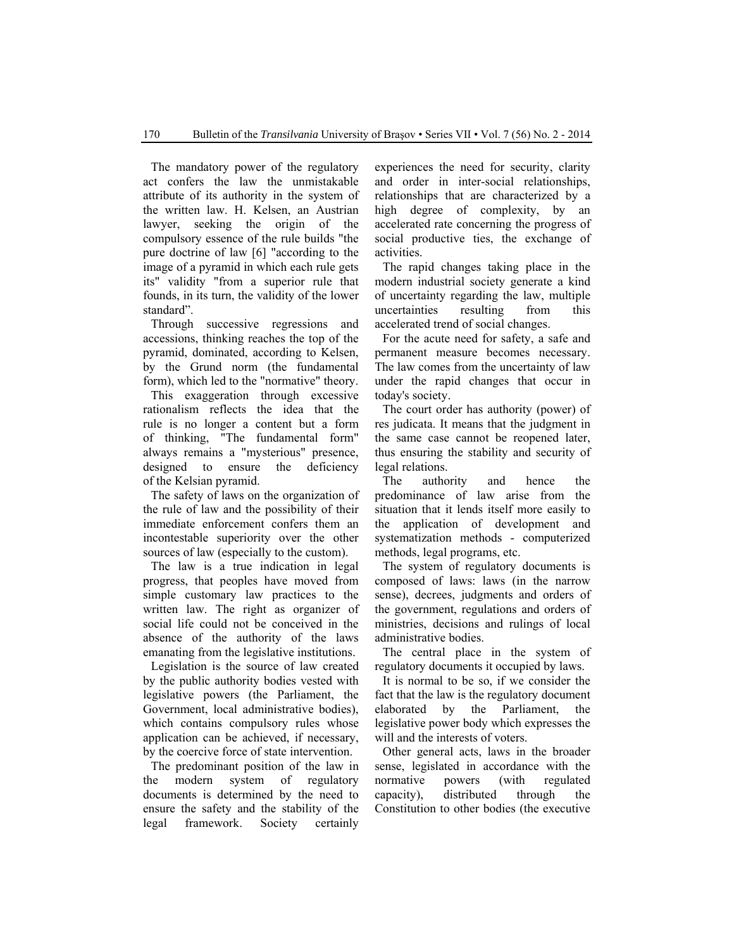The mandatory power of the regulatory act confers the law the unmistakable attribute of its authority in the system of the written law. H. Kelsen, an Austrian lawyer, seeking the origin of the compulsory essence of the rule builds "the pure doctrine of law [6] "according to the image of a pyramid in which each rule gets its" validity "from a superior rule that founds, in its turn, the validity of the lower standard".

Through successive regressions and accessions, thinking reaches the top of the pyramid, dominated, according to Kelsen, by the Grund norm (the fundamental form), which led to the "normative" theory.

This exaggeration through excessive rationalism reflects the idea that the rule is no longer a content but a form of thinking, "The fundamental form" always remains a "mysterious" presence, designed to ensure the deficiency of the Kelsian pyramid.

The safety of laws on the organization of the rule of law and the possibility of their immediate enforcement confers them an incontestable superiority over the other sources of law (especially to the custom).

The law is a true indication in legal progress, that peoples have moved from simple customary law practices to the written law. The right as organizer of social life could not be conceived in the absence of the authority of the laws emanating from the legislative institutions.

Legislation is the source of law created by the public authority bodies vested with legislative powers (the Parliament, the Government, local administrative bodies), which contains compulsory rules whose application can be achieved, if necessary, by the coercive force of state intervention.

The predominant position of the law in the modern system of regulatory documents is determined by the need to ensure the safety and the stability of the legal framework. Society certainly experiences the need for security, clarity and order in inter-social relationships, relationships that are characterized by a high degree of complexity, by an accelerated rate concerning the progress of social productive ties, the exchange of activities.

The rapid changes taking place in the modern industrial society generate a kind of uncertainty regarding the law, multiple uncertainties resulting from this accelerated trend of social changes.

For the acute need for safety, a safe and permanent measure becomes necessary. The law comes from the uncertainty of law under the rapid changes that occur in today's society.

The court order has authority (power) of res judicata. It means that the judgment in the same case cannot be reopened later, thus ensuring the stability and security of legal relations.

The authority and hence the predominance of law arise from the situation that it lends itself more easily to the application of development and systematization methods - computerized methods, legal programs, etc.

The system of regulatory documents is composed of laws: laws (in the narrow sense), decrees, judgments and orders of the government, regulations and orders of ministries, decisions and rulings of local administrative bodies.

The central place in the system of regulatory documents it occupied by laws.

It is normal to be so, if we consider the fact that the law is the regulatory document elaborated by the Parliament, the legislative power body which expresses the will and the interests of voters.

Other general acts, laws in the broader sense, legislated in accordance with the normative powers (with regulated capacity), distributed through the Constitution to other bodies (the executive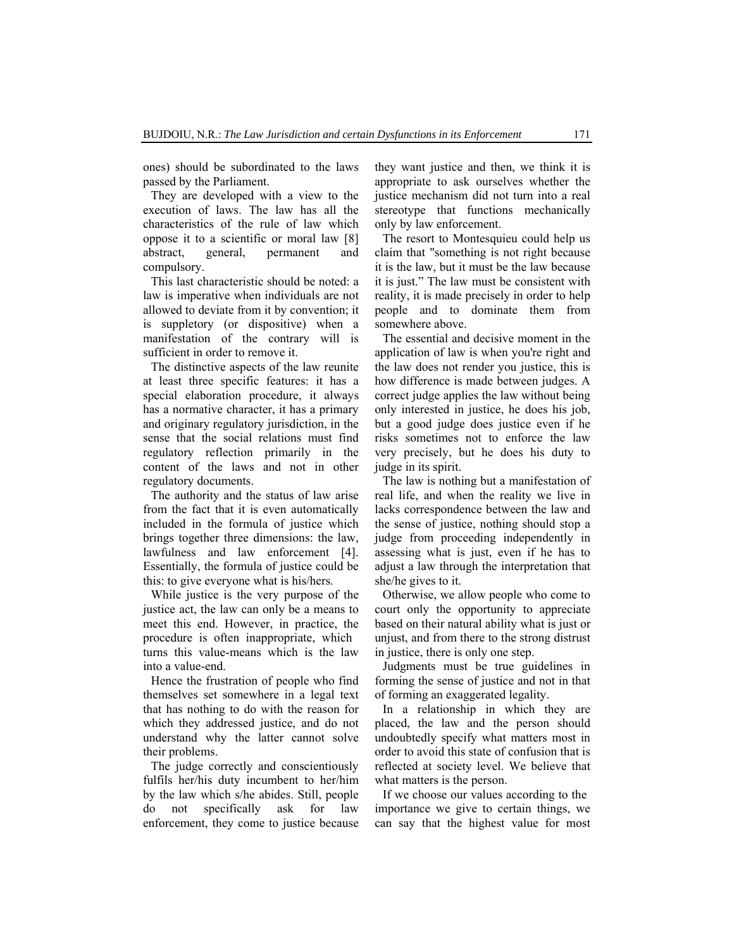ones) should be subordinated to the laws passed by the Parliament.

They are developed with a view to the execution of laws. The law has all the characteristics of the rule of law which oppose it to a scientific or moral law [8] abstract, general, permanent and compulsory.

This last characteristic should be noted: a law is imperative when individuals are not allowed to deviate from it by convention; it is suppletory (or dispositive) when a manifestation of the contrary will is sufficient in order to remove it.

The distinctive aspects of the law reunite at least three specific features: it has a special elaboration procedure, it always has a normative character, it has a primary and originary regulatory jurisdiction, in the sense that the social relations must find regulatory reflection primarily in the content of the laws and not in other regulatory documents.

The authority and the status of law arise from the fact that it is even automatically included in the formula of justice which brings together three dimensions: the law, lawfulness and law enforcement [4]. Essentially, the formula of justice could be this: to give everyone what is his/hers.

While justice is the very purpose of the justice act, the law can only be a means to meet this end. However, in practice, the procedure is often inappropriate, which turns this value-means which is the law into a value-end.

Hence the frustration of people who find themselves set somewhere in a legal text that has nothing to do with the reason for which they addressed justice, and do not understand why the latter cannot solve their problems.

The judge correctly and conscientiously fulfils her/his duty incumbent to her/him by the law which s/he abides. Still, people do not specifically ask for law enforcement, they come to justice because they want justice and then, we think it is appropriate to ask ourselves whether the justice mechanism did not turn into a real stereotype that functions mechanically only by law enforcement.

The resort to Montesquieu could help us claim that "something is not right because it is the law, but it must be the law because it is just." The law must be consistent with reality, it is made precisely in order to help people and to dominate them from somewhere above.

The essential and decisive moment in the application of law is when you're right and the law does not render you justice, this is how difference is made between judges. A correct judge applies the law without being only interested in justice, he does his job, but a good judge does justice even if he risks sometimes not to enforce the law very precisely, but he does his duty to judge in its spirit.

The law is nothing but a manifestation of real life, and when the reality we live in lacks correspondence between the law and the sense of justice, nothing should stop a judge from proceeding independently in assessing what is just, even if he has to adjust a law through the interpretation that she/he gives to it.

Otherwise, we allow people who come to court only the opportunity to appreciate based on their natural ability what is just or unjust, and from there to the strong distrust in justice, there is only one step.

Judgments must be true guidelines in forming the sense of justice and not in that of forming an exaggerated legality.

In a relationship in which they are placed, the law and the person should undoubtedly specify what matters most in order to avoid this state of confusion that is reflected at society level. We believe that what matters is the person.

If we choose our values according to the importance we give to certain things, we can say that the highest value for most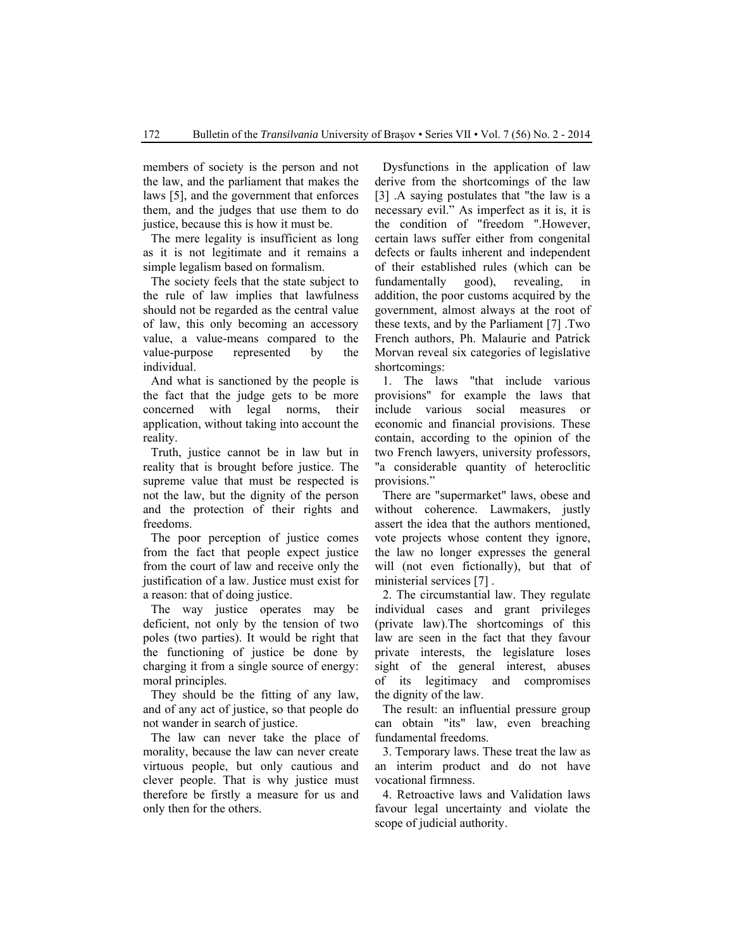members of society is the person and not the law, and the parliament that makes the laws [5], and the government that enforces them, and the judges that use them to do justice, because this is how it must be.

The mere legality is insufficient as long as it is not legitimate and it remains a simple legalism based on formalism.

The society feels that the state subject to the rule of law implies that lawfulness should not be regarded as the central value of law, this only becoming an accessory value, a value-means compared to the value-purpose represented by the individual.

And what is sanctioned by the people is the fact that the judge gets to be more concerned with legal norms, their application, without taking into account the reality.

Truth, justice cannot be in law but in reality that is brought before justice. The supreme value that must be respected is not the law, but the dignity of the person and the protection of their rights and freedoms.

The poor perception of justice comes from the fact that people expect justice from the court of law and receive only the justification of a law. Justice must exist for a reason: that of doing justice.

The way justice operates may be deficient, not only by the tension of two poles (two parties). It would be right that the functioning of justice be done by charging it from a single source of energy: moral principles.

They should be the fitting of any law, and of any act of justice, so that people do not wander in search of justice.

The law can never take the place of morality, because the law can never create virtuous people, but only cautious and clever people. That is why justice must therefore be firstly a measure for us and only then for the others.

Dysfunctions in the application of law derive from the shortcomings of the law [3] .A saying postulates that "the law is a necessary evil." As imperfect as it is, it is the condition of "freedom ".However, certain laws suffer either from congenital defects or faults inherent and independent of their established rules (which can be fundamentally good), revealing, in addition, the poor customs acquired by the government, almost always at the root of these texts, and by the Parliament [7] .Two French authors, Ph. Malaurie and Patrick Morvan reveal six categories of legislative shortcomings:

1. The laws "that include various provisions" for example the laws that include various social measures or economic and financial provisions. These contain, according to the opinion of the two French lawyers, university professors, "a considerable quantity of heteroclitic provisions."

There are "supermarket" laws, obese and without coherence. Lawmakers, justly assert the idea that the authors mentioned, vote projects whose content they ignore, the law no longer expresses the general will (not even fictionally), but that of ministerial services [7] .

2. The circumstantial law. They regulate individual cases and grant privileges (private law).The shortcomings of this law are seen in the fact that they favour private interests, the legislature loses sight of the general interest, abuses of its legitimacy and compromises the dignity of the law.

The result: an influential pressure group can obtain "its" law, even breaching fundamental freedoms.

3. Temporary laws. These treat the law as an interim product and do not have vocational firmness.

4. Retroactive laws and Validation laws favour legal uncertainty and violate the scope of judicial authority.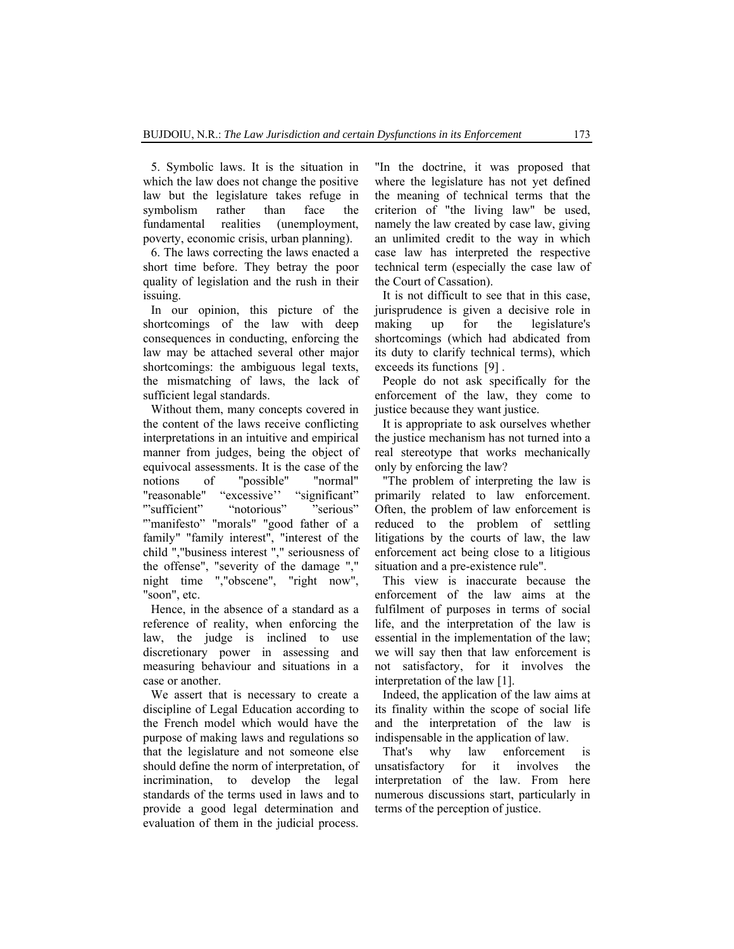5. Symbolic laws. It is the situation in which the law does not change the positive law but the legislature takes refuge in symbolism rather than face the fundamental realities (unemployment, poverty, economic crisis, urban planning).

6. The laws correcting the laws enacted a short time before. They betray the poor quality of legislation and the rush in their issuing.

In our opinion, this picture of the shortcomings of the law with deep consequences in conducting, enforcing the law may be attached several other major shortcomings: the ambiguous legal texts, the mismatching of laws, the lack of sufficient legal standards.

Without them, many concepts covered in the content of the laws receive conflicting interpretations in an intuitive and empirical manner from judges, being the object of equivocal assessments. It is the case of the notions of "possible" "normal" "reasonable" "excessive" "significant" '"sufficient" "notorious" "serious" '"manifesto" "morals" "good father of a family" "family interest", "interest of the child ","business interest "," seriousness of the offense", "severity of the damage "," night time ","obscene", "right now", "soon", etc.

Hence, in the absence of a standard as a reference of reality, when enforcing the law, the judge is inclined to use discretionary power in assessing and measuring behaviour and situations in a case or another.

We assert that is necessary to create a discipline of Legal Education according to the French model which would have the purpose of making laws and regulations so that the legislature and not someone else should define the norm of interpretation, of incrimination, to develop the legal standards of the terms used in laws and to provide a good legal determination and evaluation of them in the judicial process.

"In the doctrine, it was proposed that where the legislature has not yet defined the meaning of technical terms that the criterion of "the living law" be used, namely the law created by case law, giving an unlimited credit to the way in which case law has interpreted the respective technical term (especially the case law of the Court of Cassation).

It is not difficult to see that in this case, jurisprudence is given a decisive role in making up for the legislature's shortcomings (which had abdicated from its duty to clarify technical terms), which exceeds its functions [9] .

People do not ask specifically for the enforcement of the law, they come to justice because they want justice.

It is appropriate to ask ourselves whether the justice mechanism has not turned into a real stereotype that works mechanically only by enforcing the law?

"The problem of interpreting the law is primarily related to law enforcement. Often, the problem of law enforcement is reduced to the problem of settling litigations by the courts of law, the law enforcement act being close to a litigious situation and a pre-existence rule".

This view is inaccurate because the enforcement of the law aims at the fulfilment of purposes in terms of social life, and the interpretation of the law is essential in the implementation of the law; we will say then that law enforcement is not satisfactory, for it involves the interpretation of the law [1].

Indeed, the application of the law aims at its finality within the scope of social life and the interpretation of the law is indispensable in the application of law.

That's why law enforcement is unsatisfactory for it involves the interpretation of the law. From here numerous discussions start, particularly in terms of the perception of justice.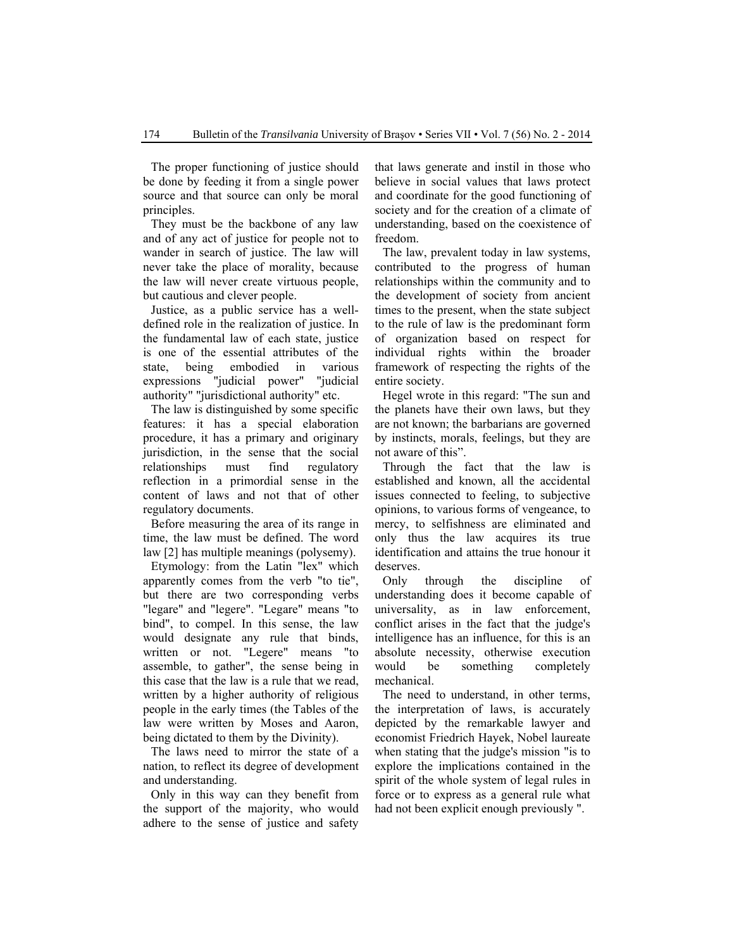The proper functioning of justice should be done by feeding it from a single power source and that source can only be moral principles.

They must be the backbone of any law and of any act of justice for people not to wander in search of justice. The law will never take the place of morality, because the law will never create virtuous people, but cautious and clever people.

Justice, as a public service has a welldefined role in the realization of justice. In the fundamental law of each state, justice is one of the essential attributes of the state, being embodied in various expressions "judicial power" "judicial authority" "jurisdictional authority" etc.

The law is distinguished by some specific features: it has a special elaboration procedure, it has a primary and originary jurisdiction, in the sense that the social relationships must find regulatory reflection in a primordial sense in the content of laws and not that of other regulatory documents.

Before measuring the area of its range in time, the law must be defined. The word law [2] has multiple meanings (polysemy).

Etymology: from the Latin "lex" which apparently comes from the verb "to tie", but there are two corresponding verbs "legare" and "legere". "Legare" means "to bind", to compel. In this sense, the law would designate any rule that binds, written or not. "Legere" means "to assemble, to gather", the sense being in this case that the law is a rule that we read, written by a higher authority of religious people in the early times (the Tables of the law were written by Moses and Aaron, being dictated to them by the Divinity).

The laws need to mirror the state of a nation, to reflect its degree of development and understanding.

Only in this way can they benefit from the support of the majority, who would adhere to the sense of justice and safety

that laws generate and instil in those who believe in social values that laws protect and coordinate for the good functioning of society and for the creation of a climate of understanding, based on the coexistence of freedom.

The law, prevalent today in law systems, contributed to the progress of human relationships within the community and to the development of society from ancient times to the present, when the state subject to the rule of law is the predominant form of organization based on respect for individual rights within the broader framework of respecting the rights of the entire society.

Hegel wrote in this regard: "The sun and the planets have their own laws, but they are not known; the barbarians are governed by instincts, morals, feelings, but they are not aware of this".

Through the fact that the law is established and known, all the accidental issues connected to feeling, to subjective opinions, to various forms of vengeance, to mercy, to selfishness are eliminated and only thus the law acquires its true identification and attains the true honour it deserves.

Only through the discipline of understanding does it become capable of universality, as in law enforcement, conflict arises in the fact that the judge's intelligence has an influence, for this is an absolute necessity, otherwise execution would be something completely mechanical.

The need to understand, in other terms, the interpretation of laws, is accurately depicted by the remarkable lawyer and economist Friedrich Hayek, Nobel laureate when stating that the judge's mission "is to explore the implications contained in the spirit of the whole system of legal rules in force or to express as a general rule what had not been explicit enough previously ".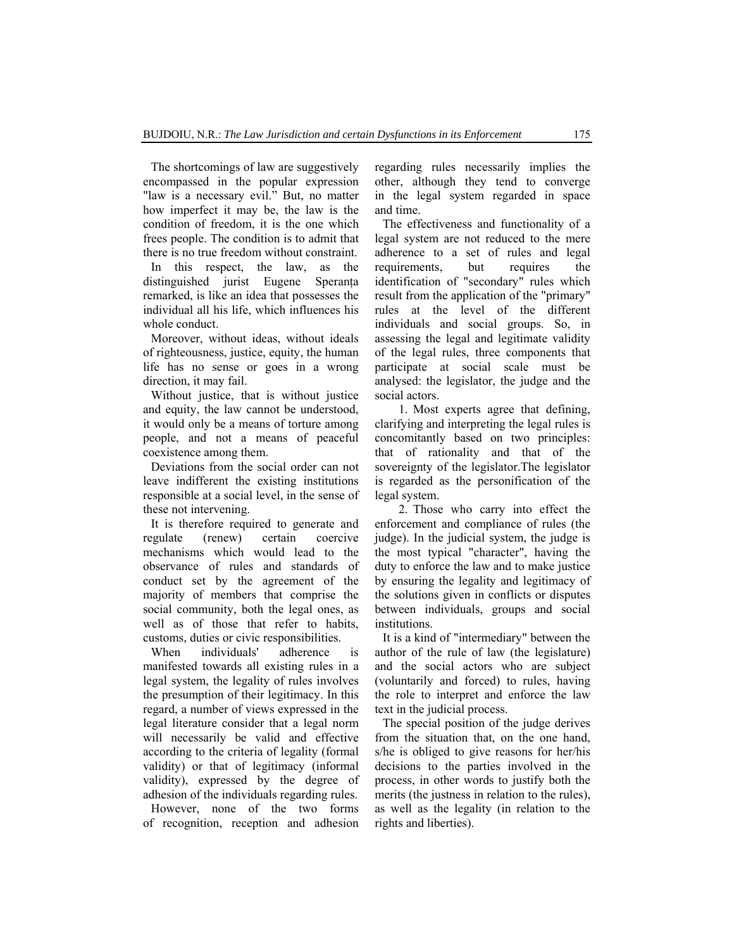The shortcomings of law are suggestively encompassed in the popular expression "law is a necessary evil." But, no matter how imperfect it may be, the law is the condition of freedom, it is the one which frees people. The condition is to admit that there is no true freedom without constraint.

In this respect, the law, as the distinguished jurist Eugene Speranţa remarked, is like an idea that possesses the individual all his life, which influences his whole conduct.

Moreover, without ideas, without ideals of righteousness, justice, equity, the human life has no sense or goes in a wrong direction, it may fail.

Without justice, that is without justice and equity, the law cannot be understood, it would only be a means of torture among people, and not a means of peaceful coexistence among them.

Deviations from the social order can not leave indifferent the existing institutions responsible at a social level, in the sense of these not intervening.

It is therefore required to generate and regulate (renew) certain coercive mechanisms which would lead to the observance of rules and standards of conduct set by the agreement of the majority of members that comprise the social community, both the legal ones, as well as of those that refer to habits, customs, duties or civic responsibilities.

When individuals' adherence is manifested towards all existing rules in a legal system, the legality of rules involves the presumption of their legitimacy. In this regard, a number of views expressed in the legal literature consider that a legal norm will necessarily be valid and effective according to the criteria of legality (formal validity) or that of legitimacy (informal validity), expressed by the degree of adhesion of the individuals regarding rules.

However, none of the two forms of recognition, reception and adhesion regarding rules necessarily implies the other, although they tend to converge in the legal system regarded in space and time.

The effectiveness and functionality of a legal system are not reduced to the mere adherence to a set of rules and legal requirements, but requires the identification of "secondary" rules which result from the application of the "primary" rules at the level of the different individuals and social groups. So, in assessing the legal and legitimate validity of the legal rules, three components that participate at social scale must be analysed: the legislator, the judge and the social actors.

1. Most experts agree that defining, clarifying and interpreting the legal rules is concomitantly based on two principles: that of rationality and that of the sovereignty of the legislator.The legislator is regarded as the personification of the legal system.

2. Those who carry into effect the enforcement and compliance of rules (the judge). In the judicial system, the judge is the most typical "character", having the duty to enforce the law and to make justice by ensuring the legality and legitimacy of the solutions given in conflicts or disputes between individuals, groups and social institutions.

It is a kind of "intermediary" between the author of the rule of law (the legislature) and the social actors who are subject (voluntarily and forced) to rules, having the role to interpret and enforce the law text in the judicial process.

The special position of the judge derives from the situation that, on the one hand, s/he is obliged to give reasons for her/his decisions to the parties involved in the process, in other words to justify both the merits (the justness in relation to the rules), as well as the legality (in relation to the rights and liberties).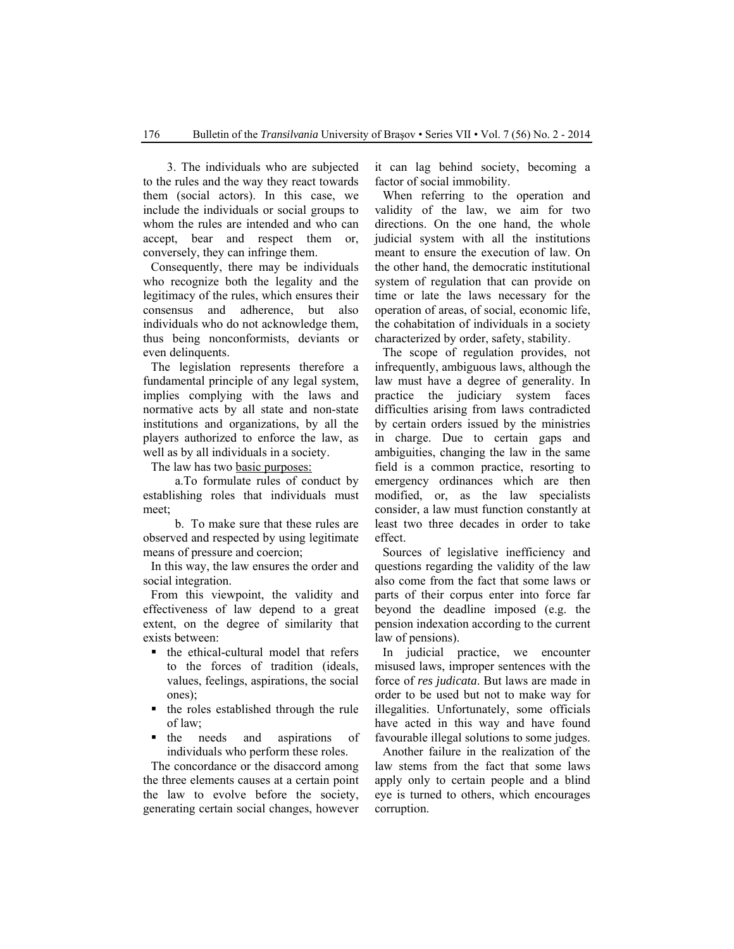3. The individuals who are subjected to the rules and the way they react towards them (social actors). In this case, we include the individuals or social groups to whom the rules are intended and who can accept, bear and respect them or, conversely, they can infringe them.

Consequently, there may be individuals who recognize both the legality and the legitimacy of the rules, which ensures their consensus and adherence, but also individuals who do not acknowledge them, thus being nonconformists, deviants or even delinquents.

The legislation represents therefore a fundamental principle of any legal system, implies complying with the laws and normative acts by all state and non-state institutions and organizations, by all the players authorized to enforce the law, as well as by all individuals in a society.

The law has two basic purposes:

a.To formulate rules of conduct by establishing roles that individuals must meet;

b. To make sure that these rules are observed and respected by using legitimate means of pressure and coercion;

In this way, the law ensures the order and social integration.

From this viewpoint, the validity and effectiveness of law depend to a great extent, on the degree of similarity that exists between:

- the ethical-cultural model that refers to the forces of tradition (ideals, values, feelings, aspirations, the social ones);
- the roles established through the rule of law;
- the needs and aspirations of individuals who perform these roles.

The concordance or the disaccord among the three elements causes at a certain point the law to evolve before the society, generating certain social changes, however it can lag behind society, becoming a factor of social immobility.

When referring to the operation and validity of the law, we aim for two directions. On the one hand, the whole judicial system with all the institutions meant to ensure the execution of law. On the other hand, the democratic institutional system of regulation that can provide on time or late the laws necessary for the operation of areas, of social, economic life, the cohabitation of individuals in a society characterized by order, safety, stability.

The scope of regulation provides, not infrequently, ambiguous laws, although the law must have a degree of generality. In practice the judiciary system faces difficulties arising from laws contradicted by certain orders issued by the ministries in charge. Due to certain gaps and ambiguities, changing the law in the same field is a common practice, resorting to emergency ordinances which are then modified, or, as the law specialists consider, a law must function constantly at least two three decades in order to take effect.

Sources of legislative inefficiency and questions regarding the validity of the law also come from the fact that some laws or parts of their corpus enter into force far beyond the deadline imposed (e.g. the pension indexation according to the current law of pensions).

In judicial practice, we encounter misused laws, improper sentences with the force of *res judicata*. But laws are made in order to be used but not to make way for illegalities. Unfortunately, some officials have acted in this way and have found favourable illegal solutions to some judges.

Another failure in the realization of the law stems from the fact that some laws apply only to certain people and a blind eye is turned to others, which encourages corruption.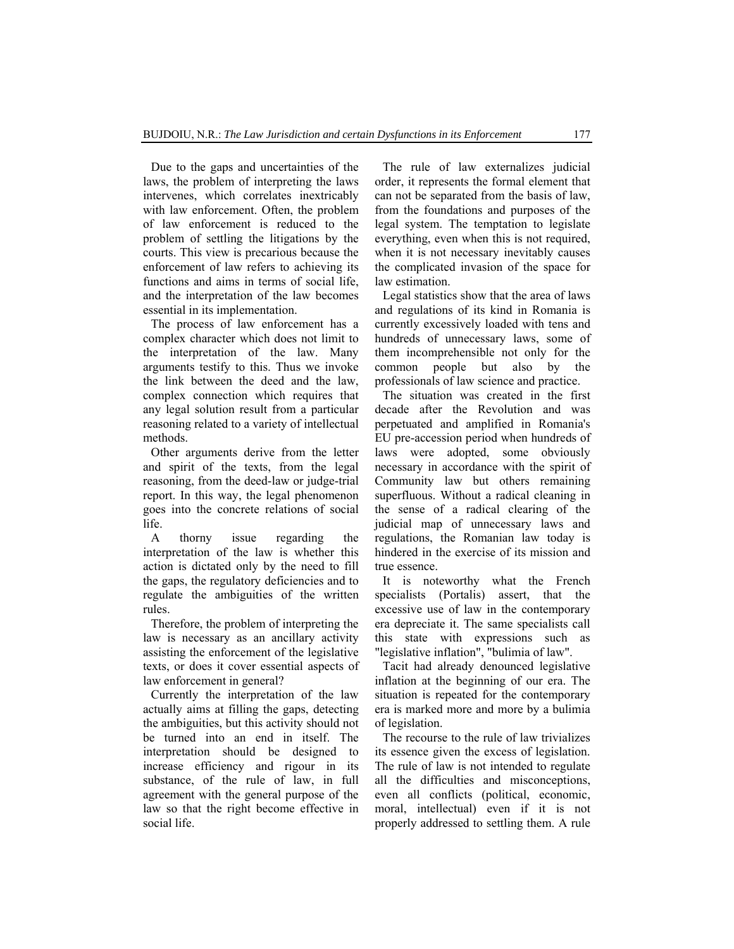Due to the gaps and uncertainties of the laws, the problem of interpreting the laws intervenes, which correlates inextricably with law enforcement. Often, the problem of law enforcement is reduced to the problem of settling the litigations by the courts. This view is precarious because the enforcement of law refers to achieving its functions and aims in terms of social life, and the interpretation of the law becomes essential in its implementation.

The process of law enforcement has a complex character which does not limit to the interpretation of the law. Many arguments testify to this. Thus we invoke the link between the deed and the law, complex connection which requires that any legal solution result from a particular reasoning related to a variety of intellectual methods.

Other arguments derive from the letter and spirit of the texts, from the legal reasoning, from the deed-law or judge-trial report. In this way, the legal phenomenon goes into the concrete relations of social life.

A thorny issue regarding the interpretation of the law is whether this action is dictated only by the need to fill the gaps, the regulatory deficiencies and to regulate the ambiguities of the written rules.

Therefore, the problem of interpreting the law is necessary as an ancillary activity assisting the enforcement of the legislative texts, or does it cover essential aspects of law enforcement in general?

Currently the interpretation of the law actually aims at filling the gaps, detecting the ambiguities, but this activity should not be turned into an end in itself. The interpretation should be designed to increase efficiency and rigour in its substance, of the rule of law, in full agreement with the general purpose of the law so that the right become effective in social life.

The rule of law externalizes judicial order, it represents the formal element that can not be separated from the basis of law, from the foundations and purposes of the legal system. The temptation to legislate everything, even when this is not required, when it is not necessary inevitably causes the complicated invasion of the space for law estimation.

Legal statistics show that the area of laws and regulations of its kind in Romania is currently excessively loaded with tens and hundreds of unnecessary laws, some of them incomprehensible not only for the common people but also by the professionals of law science and practice.

The situation was created in the first decade after the Revolution and was perpetuated and amplified in Romania's EU pre-accession period when hundreds of laws were adopted, some obviously necessary in accordance with the spirit of Community law but others remaining superfluous. Without a radical cleaning in the sense of a radical clearing of the judicial map of unnecessary laws and regulations, the Romanian law today is hindered in the exercise of its mission and true essence.

It is noteworthy what the French specialists (Portalis) assert, that the excessive use of law in the contemporary era depreciate it. The same specialists call this state with expressions such as "legislative inflation", "bulimia of law".

Tacit had already denounced legislative inflation at the beginning of our era. The situation is repeated for the contemporary era is marked more and more by a bulimia of legislation.

The recourse to the rule of law trivializes its essence given the excess of legislation. The rule of law is not intended to regulate all the difficulties and misconceptions, even all conflicts (political, economic, moral, intellectual) even if it is not properly addressed to settling them. A rule